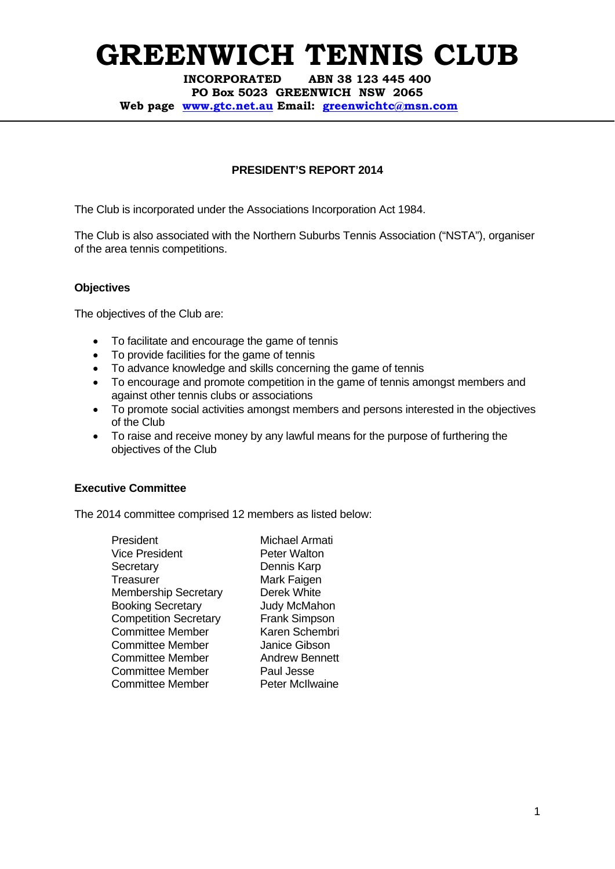**INCORPORATED ABN 38 123 445 400 PO Box 5023 GREENWICH NSW 2065 Web page www.gtc.net.au Email: greenwichtc@msn.com**

## **PRESIDENT'S REPORT 2014**

The Club is incorporated under the Associations Incorporation Act 1984.

The Club is also associated with the Northern Suburbs Tennis Association ("NSTA"), organiser of the area tennis competitions.

## **Objectives**

The objectives of the Club are:

- To facilitate and encourage the game of tennis
- To provide facilities for the game of tennis
- To advance knowledge and skills concerning the game of tennis
- To encourage and promote competition in the game of tennis amongst members and against other tennis clubs or associations
- To promote social activities amongst members and persons interested in the objectives of the Club
- To raise and receive money by any lawful means for the purpose of furthering the objectives of the Club

## **Executive Committee**

The 2014 committee comprised 12 members as listed below:

| President                    |
|------------------------------|
| Vice President               |
| Secretary                    |
| Treasurer                    |
| <b>Membership Secretary</b>  |
| <b>Booking Secretary</b>     |
| <b>Competition Secretary</b> |
| Committee Member             |
| Committee Member             |
| <b>Committee Member</b>      |
| <b>Committee Member</b>      |
| Committee Member             |
|                              |

Michael Armati Peter Walton Dennis Karp Mark Faigen Derek White Judy McMahon Frank Simpson Karen Schembri Janice Gibson **Andrew Bennett** Paul Jesse Peter McIlwaine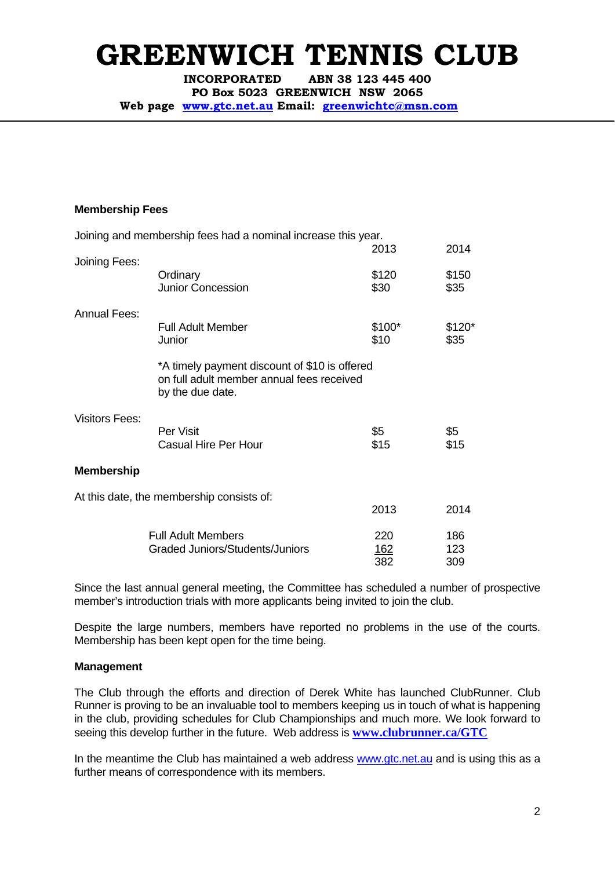**INCORPORATED ABN 38 123 445 400 PO Box 5023 GREENWICH NSW 2065** 

**Web page www.gtc.net.au Email: greenwichtc@msn.com**

### **Membership Fees**

|                       | Joining and membership fees had a nominal increase this year. |             |         |  |
|-----------------------|---------------------------------------------------------------|-------------|---------|--|
|                       |                                                               | 2013        | 2014    |  |
| Joining Fees:         |                                                               |             |         |  |
|                       | Ordinary                                                      | \$120       | \$150   |  |
|                       | <b>Junior Concession</b>                                      | \$30        | \$35    |  |
| <b>Annual Fees:</b>   |                                                               |             |         |  |
|                       | <b>Full Adult Member</b>                                      | \$100*      | $$120*$ |  |
|                       | Junior                                                        | \$10        | \$35    |  |
|                       |                                                               |             |         |  |
|                       | *A timely payment discount of \$10 is offered                 |             |         |  |
|                       | on full adult member annual fees received<br>by the due date. |             |         |  |
|                       |                                                               |             |         |  |
| <b>Visitors Fees:</b> |                                                               |             |         |  |
|                       | Per Visit                                                     | \$5         | \$5     |  |
|                       | <b>Casual Hire Per Hour</b>                                   | \$15        | \$15    |  |
|                       |                                                               |             |         |  |
| <b>Membership</b>     |                                                               |             |         |  |
|                       | At this date, the membership consists of:                     |             |         |  |
|                       |                                                               | 2013        | 2014    |  |
|                       | <b>Full Adult Members</b>                                     | 220         | 186     |  |
|                       | <b>Graded Juniors/Students/Juniors</b>                        | <u> 162</u> | 123     |  |
|                       |                                                               | 382         | 309     |  |

Since the last annual general meeting, the Committee has scheduled a number of prospective member's introduction trials with more applicants being invited to join the club.

Despite the large numbers, members have reported no problems in the use of the courts. Membership has been kept open for the time being.

#### **Management**

The Club through the efforts and direction of Derek White has launched ClubRunner. Club Runner is proving to be an invaluable tool to members keeping us in touch of what is happening in the club, providing schedules for Club Championships and much more. We look forward to seeing this develop further in the future. Web address is **www.clubrunner.ca/GTC**

In the meantime the Club has maintained a web address www.gtc.net.au and is using this as a further means of correspondence with its members.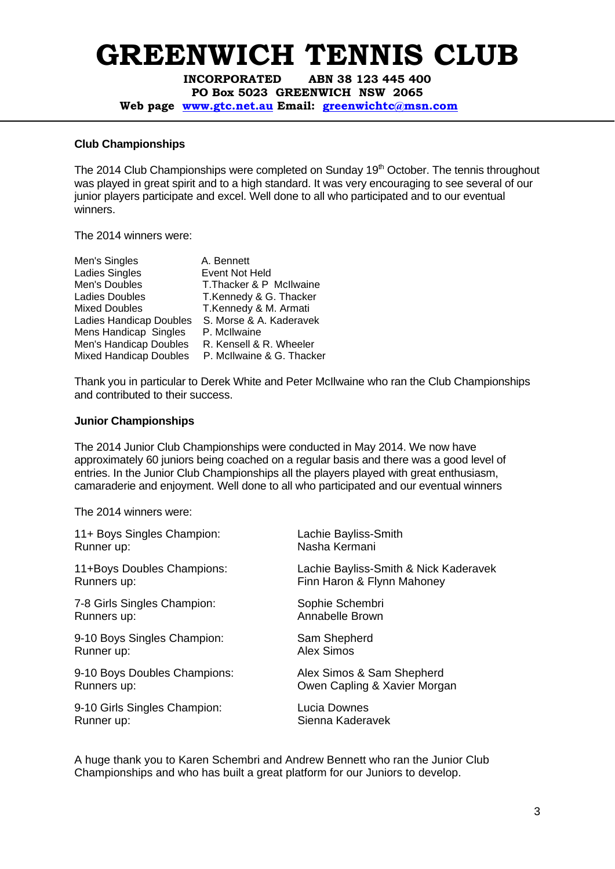**INCORPORATED ABN 38 123 445 400 PO Box 5023 GREENWICH NSW 2065** 

**Web page www.gtc.net.au Email: greenwichtc@msn.com**

### **Club Championships**

The 2014 Club Championships were completed on Sunday 19<sup>th</sup> October. The tennis throughout was played in great spirit and to a high standard. It was very encouraging to see several of our junior players participate and excel. Well done to all who participated and to our eventual winners.

The 2014 winners were:

| Men's Singles                 | A. Bennett                |
|-------------------------------|---------------------------|
| Ladies Singles                | Event Not Held            |
| Men's Doubles                 | T. Thacker & P McIlwaine  |
| <b>Ladies Doubles</b>         | T.Kennedy & G. Thacker    |
| <b>Mixed Doubles</b>          | T.Kennedy & M. Armati     |
| Ladies Handicap Doubles       | S. Morse & A. Kaderavek   |
| Mens Handicap Singles         | P. McIlwaine              |
| Men's Handicap Doubles        | R. Kensell & R. Wheeler   |
| <b>Mixed Handicap Doubles</b> | P. McIlwaine & G. Thacker |
|                               |                           |

Thank you in particular to Derek White and Peter McIlwaine who ran the Club Championships and contributed to their success.

## **Junior Championships**

The 2014 Junior Club Championships were conducted in May 2014. We now have approximately 60 juniors being coached on a regular basis and there was a good level of entries. In the Junior Club Championships all the players played with great enthusiasm, camaraderie and enjoyment. Well done to all who participated and our eventual winners

The 2014 winners were:

| 11+ Boys Singles Champion:   | Lachie Bayliss-Smith                  |
|------------------------------|---------------------------------------|
| Runner up:                   | Nasha Kermani                         |
| 11+Boys Doubles Champions:   | Lachie Bayliss-Smith & Nick Kaderavek |
| Runners up:                  | Finn Haron & Flynn Mahoney            |
| 7-8 Girls Singles Champion:  | Sophie Schembri                       |
| Runners up:                  | Annabelle Brown                       |
| 9-10 Boys Singles Champion:  | Sam Shepherd                          |
| Runner up:                   | <b>Alex Simos</b>                     |
| 9-10 Boys Doubles Champions: | Alex Simos & Sam Shepherd             |
| Runners up:                  | Owen Capling & Xavier Morgan          |
| 9-10 Girls Singles Champion: | Lucia Downes                          |
| Runner up:                   | Sienna Kaderavek                      |

A huge thank you to Karen Schembri and Andrew Bennett who ran the Junior Club Championships and who has built a great platform for our Juniors to develop.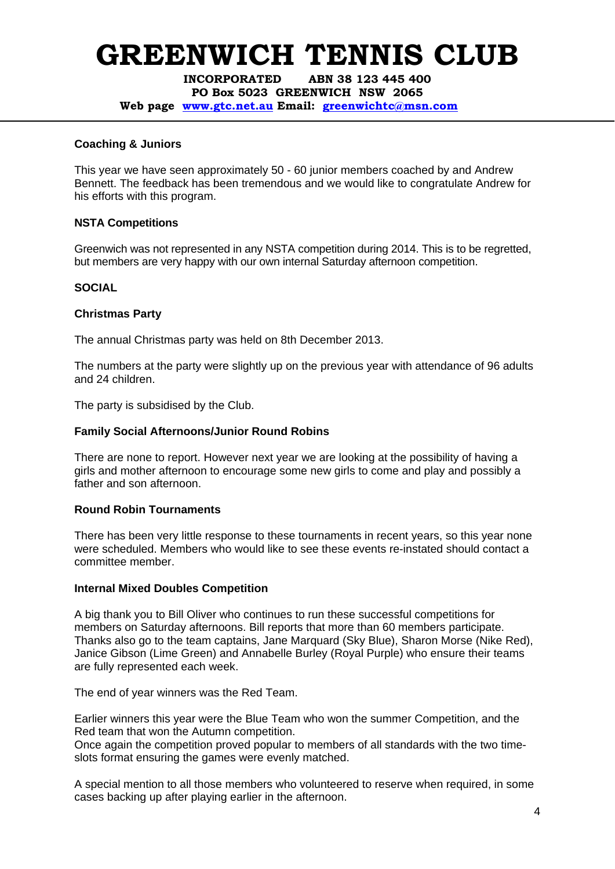**INCORPORATED ABN 38 123 445 400 PO Box 5023 GREENWICH NSW 2065** 

**Web page www.gtc.net.au Email: greenwichtc@msn.com**

## **Coaching & Juniors**

This year we have seen approximately 50 - 60 junior members coached by and Andrew Bennett. The feedback has been tremendous and we would like to congratulate Andrew for his efforts with this program.

## **NSTA Competitions**

Greenwich was not represented in any NSTA competition during 2014. This is to be regretted, but members are very happy with our own internal Saturday afternoon competition.

## **SOCIAL**

## **Christmas Party**

The annual Christmas party was held on 8th December 2013.

The numbers at the party were slightly up on the previous year with attendance of 96 adults and 24 children.

The party is subsidised by the Club.

## **Family Social Afternoons/Junior Round Robins**

There are none to report. However next year we are looking at the possibility of having a girls and mother afternoon to encourage some new girls to come and play and possibly a father and son afternoon.

#### **Round Robin Tournaments**

There has been very little response to these tournaments in recent years, so this year none were scheduled. Members who would like to see these events re-instated should contact a committee member.

#### **Internal Mixed Doubles Competition**

A big thank you to Bill Oliver who continues to run these successful competitions for members on Saturday afternoons. Bill reports that more than 60 members participate. Thanks also go to the team captains, Jane Marquard (Sky Blue), Sharon Morse (Nike Red), Janice Gibson (Lime Green) and Annabelle Burley (Royal Purple) who ensure their teams are fully represented each week.

The end of year winners was the Red Team.

Earlier winners this year were the Blue Team who won the summer Competition, and the Red team that won the Autumn competition.

Once again the competition proved popular to members of all standards with the two timeslots format ensuring the games were evenly matched.

A special mention to all those members who volunteered to reserve when required, in some cases backing up after playing earlier in the afternoon.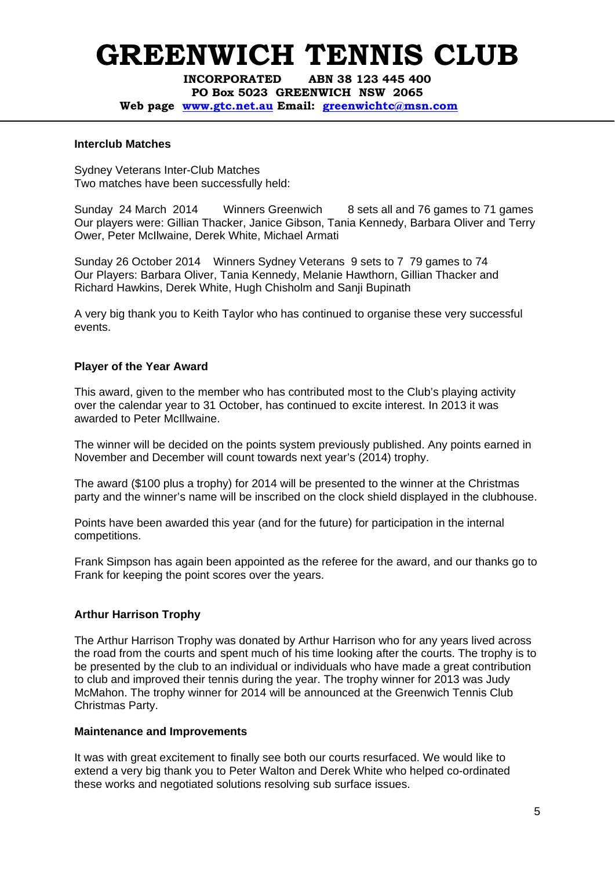**INCORPORATED ABN 38 123 445 400 PO Box 5023 GREENWICH NSW 2065** 

**Web page www.gtc.net.au Email: greenwichtc@msn.com**

#### **Interclub Matches**

Sydney Veterans Inter-Club Matches Two matches have been successfully held:

Sunday 24 March 2014 Winners Greenwich 8 sets all and 76 games to 71 games Our players were: Gillian Thacker, Janice Gibson, Tania Kennedy, Barbara Oliver and Terry Ower, Peter McIlwaine, Derek White, Michael Armati

Sunday 26 October 2014 Winners Sydney Veterans 9 sets to 7 79 games to 74 Our Players: Barbara Oliver, Tania Kennedy, Melanie Hawthorn, Gillian Thacker and Richard Hawkins, Derek White, Hugh Chisholm and Sanji Bupinath

A very big thank you to Keith Taylor who has continued to organise these very successful events.

#### **Player of the Year Award**

This award, given to the member who has contributed most to the Club's playing activity over the calendar year to 31 October, has continued to excite interest. In 2013 it was awarded to Peter McIllwaine.

The winner will be decided on the points system previously published. Any points earned in November and December will count towards next year's (2014) trophy.

The award (\$100 plus a trophy) for 2014 will be presented to the winner at the Christmas party and the winner's name will be inscribed on the clock shield displayed in the clubhouse.

Points have been awarded this year (and for the future) for participation in the internal competitions.

Frank Simpson has again been appointed as the referee for the award, and our thanks go to Frank for keeping the point scores over the years.

#### **Arthur Harrison Trophy**

The Arthur Harrison Trophy was donated by Arthur Harrison who for any years lived across the road from the courts and spent much of his time looking after the courts. The trophy is to be presented by the club to an individual or individuals who have made a great contribution to club and improved their tennis during the year. The trophy winner for 2013 was Judy McMahon. The trophy winner for 2014 will be announced at the Greenwich Tennis Club Christmas Party.

#### **Maintenance and Improvements**

It was with great excitement to finally see both our courts resurfaced. We would like to extend a very big thank you to Peter Walton and Derek White who helped co-ordinated these works and negotiated solutions resolving sub surface issues.